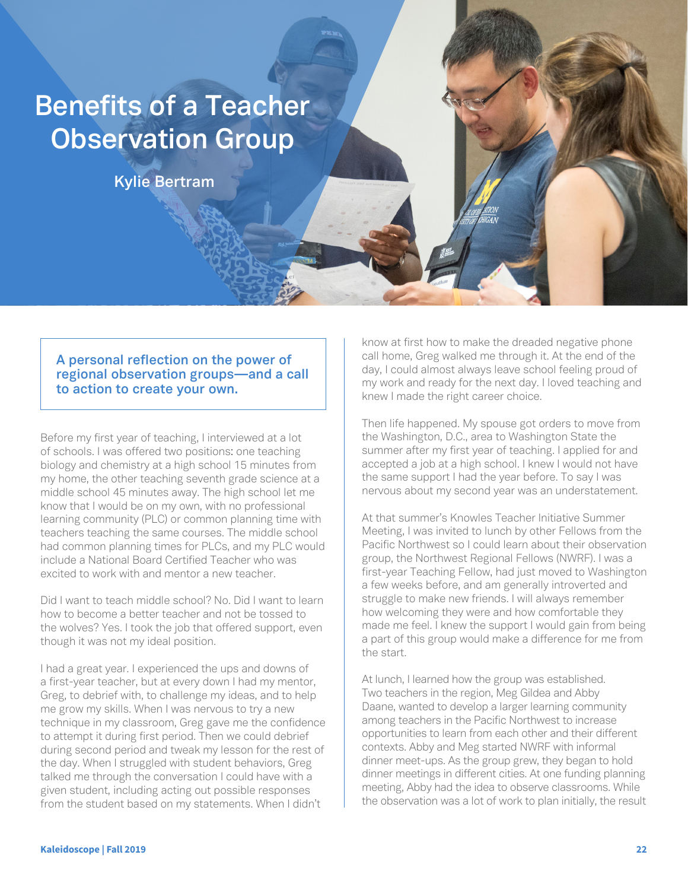## **Benefits of a Teacher Observation Group**

**Kylie Bertram**

**A personal reflection on the power of regional observation groups—and a call to action to create your own.**

Before my first year of teaching, I interviewed at a lot of schools. I was offered two positions: one teaching biology and chemistry at a high school 15 minutes from my home, the other teaching seventh grade science at a middle school 45 minutes away. The high school let me know that I would be on my own, with no professional learning community (PLC) or common planning time with teachers teaching the same courses. The middle school had common planning times for PLCs, and my PLC would include a National Board Certified Teacher who was excited to work with and mentor a new teacher.

Did I want to teach middle school? No. Did I want to learn how to become a better teacher and not be tossed to the wolves? Yes. I took the job that offered support, even though it was not my ideal position.

I had a great year. I experienced the ups and downs of a first-year teacher, but at every down I had my mentor, Greg, to debrief with, to challenge my ideas, and to help me grow my skills. When I was nervous to try a new technique in my classroom, Greg gave me the confidence to attempt it during first period. Then we could debrief during second period and tweak my lesson for the rest of the day. When I struggled with student behaviors, Greg talked me through the conversation I could have with a given student, including acting out possible responses from the student based on my statements. When I didn't

know at first how to make the dreaded negative phone call home, Greg walked me through it. At the end of the day, I could almost always leave school feeling proud of my work and ready for the next day. I loved teaching and knew I made the right career choice.

Then life happened. My spouse got orders to move from the Washington, D.C., area to Washington State the summer after my first year of teaching. I applied for and accepted a job at a high school. I knew I would not have the same support I had the year before. To say I was nervous about my second year was an understatement.

At that summer's Knowles Teacher Initiative Summer Meeting, I was invited to lunch by other Fellows from the Pacific Northwest so I could learn about their observation group, the Northwest Regional Fellows (NWRF). I was a first-year Teaching Fellow, had just moved to Washington a few weeks before, and am generally introverted and struggle to make new friends. I will always remember how welcoming they were and how comfortable they made me feel. I knew the support I would gain from being a part of this group would make a difference for me from the start.

At lunch, I learned how the group was established. Two teachers in the region, Meg Gildea and Abby Daane, wanted to develop a larger learning community among teachers in the Pacific Northwest to increase opportunities to learn from each other and their different contexts. Abby and Meg started NWRF with informal dinner meet-ups. As the group grew, they began to hold dinner meetings in different cities. At one funding planning meeting, Abby had the idea to observe classrooms. While the observation was a lot of work to plan initially, the result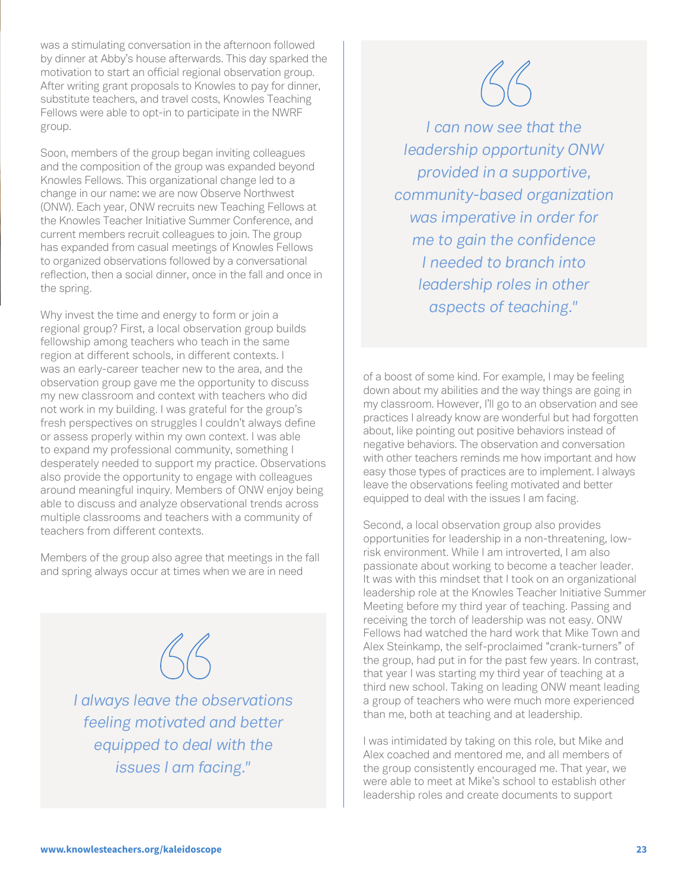was a stimulating conversation in the afternoon followed by dinner at Abby's house afterwards. This day sparked the motivation to start an official regional observation group. After writing grant proposals to Knowles to pay for dinner, substitute teachers, and travel costs, Knowles Teaching Fellows were able to opt-in to participate in the NWRF group.

Soon, members of the group began inviting colleagues and the composition of the group was expanded beyond Knowles Fellows. This organizational change led to a change in our name: we are now Observe Northwest (ONW). Each year, ONW recruits new Teaching Fellows at the Knowles Teacher Initiative Summer Conference, and current members recruit colleagues to join. The group has expanded from casual meetings of Knowles Fellows to organized observations followed by a conversational reflection, then a social dinner, once in the fall and once in the spring.

Why invest the time and energy to form or join a regional group? First, a local observation group builds fellowship among teachers who teach in the same region at different schools, in different contexts. I was an early-career teacher new to the area, and the observation group gave me the opportunity to discuss my new classroom and context with teachers who did not work in my building. I was grateful for the group's fresh perspectives on struggles I couldn't always define or assess properly within my own context. I was able to expand my professional community, something I desperately needed to support my practice. Observations also provide the opportunity to engage with colleagues around meaningful inquiry. Members of ONW enjoy being able to discuss and analyze observational trends across multiple classrooms and teachers with a community of teachers from different contexts.

Members of the group also agree that meetings in the fall and spring always occur at times when we are in need



*I always leave the observations feeling motivated and better equipped to deal with the issues I am facing."*



*I can now see that the leadership opportunity ONW provided in a supportive, community-based organization was imperative in order for me to gain the confidence I needed to branch into leadership roles in other aspects of teaching."*

of a boost of some kind. For example, I may be feeling down about my abilities and the way things are going in my classroom. However, I'll go to an observation and see practices I already know are wonderful but had forgotten about, like pointing out positive behaviors instead of negative behaviors. The observation and conversation with other teachers reminds me how important and how easy those types of practices are to implement. I always leave the observations feeling motivated and better equipped to deal with the issues I am facing.

Second, a local observation group also provides opportunities for leadership in a non-threatening, lowrisk environment. While I am introverted, I am also passionate about working to become a teacher leader. It was with this mindset that I took on an organizational leadership role at the Knowles Teacher Initiative Summer Meeting before my third year of teaching. Passing and receiving the torch of leadership was not easy. ONW Fellows had watched the hard work that Mike Town and Alex Steinkamp, the self-proclaimed "crank-turners" of the group, had put in for the past few years. In contrast, that year I was starting my third year of teaching at a third new school. Taking on leading ONW meant leading a group of teachers who were much more experienced than me, both at teaching and at leadership.

I was intimidated by taking on this role, but Mike and Alex coached and mentored me, and all members of the group consistently encouraged me. That year, we were able to meet at Mike's school to establish other leadership roles and create documents to support